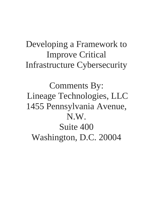## Developing a Framework to Improve Critical Infrastructure Cybersecurity

Comments By: Lineage Technologies, LLC 1455 Pennsylvania Avenue, N.W. Suite 400 Washington, D.C. 20004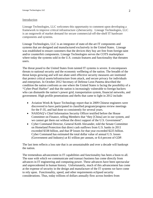## Introduction

Lineage Technologies, LLC welcomes this opportunity to comment upon developing a framework to improve critical infrastructure cybersecurity. Lineage Technologies, LLC is an outgrowth of market demand for secure commercial-off-the-shelf IT hardware components and systems.

Lineage Technologies, LLC is an integrator of state-of-the-art IT components and systems that are designed and manufactured exclusively in the United States. Lineage was established to ensure customers that the devices they buy are free from foreign taint and/or counterfeit components. Lineage Technologies serves the COTS marketplace where today the systems sold in the U.S. contain features and functionality that threaten users.

The threat posed to the United States from tainted IT systems is severe. It encompasses threats to national security and the economic wellbeing of the nation. The breadth of the threat keeps growing and will not abate until effective security measures are instituted that protect critical assets/infrastructure from attack, and secure privacy for individuals and enterprises. In October 2012 Secretary of Defense Leon Panetta described the condition the nation confronts as one where the United States is facing the possibility of a "Cyber-Pearl Harbor" and that the nation is increasingly vulnerable to foreign hackers who can dismantle the nation's power grid, transportation system, financial networks, and government. High profile penetrations and thefts that came to light in 2012 include:

- Aviation Week & Space Technology report that in 2009 Chinese engineers were discovered to have participated in classified program/progress review meetings for the F-35, and had done so consistently for several years.
- NASDAQ's Chief Information Security Officer testified before the House Committee on Finance, telling Members that "they [China] are in our system, and we cannot get them out without the direct support of the U.S. Government".
- Cyber Command Director, General Keith Alexander, told the Senate Committee on Homeland Protection that direct cash outflows from U.S. banks in 2011 exceeded \$338 billion, and that IP losses for that year exceeded \$225 billion. Cyber Command has estimated the total dollar value of annual U.S. losses (Government and Industry) at \$1 trillion per annum, or 8.4 percent of GDP.

The last item reflects a loss rate that is an unsustainable and over a decade will bankrupt the nation.

The tremendous advancement in IT capabilities and functionality has been a boon to all. The ease with which we communicate and transact business has come directly from advances in IT engineering and computing power. These advances have been spectacular and unprecedented in human history. Unfortunately, much of this advancement has come at the expense of security in the design and manufacture of the IT systems we have come to rely upon. Functionality, speed, and other requirements eclipsed security considerations. Thus, today trillions of dollars annually flow across borders from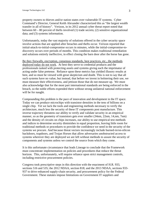property owners to thieves and/or nation states over vulnerable IT systems. Cyber Command's Director, General Keith Alexander characterized this as "the largest wealth transfer in all of history". Verizon, in its 2012 annual cyber threat report noted that between 60 – 80 percent of thefts involved (1) trade secrets; (2) sensitive organizational data; and (3) systems information.

Unfortunately, today the vast majority of solutions offered in the cyber security space involve actions that are applied after breaches and thefts occur. Verizon reported that initial-attack-to-initial-compromise occurs in minutes, while the initial-compromise-todiscovery occurs over periods of months. This condition makes traditional remediation and solutions entirely ineffective, in effect closing the barn door after the horse has gone.

Be they firewalls, encryption, consensus standards, best practices, etc., the methods deployed today do not work. At best they serve to credential products and the professionals tasked with protecting assets and systems giving each the imprimatur of acting under false pretense. Reliance upon these metrics has yielded illusory results at best, and so must be viewed with great skepticism and doubt. This is not to say that all such systems have no value, but instead, that before we invest in bolstering their use, we must measure their effectiveness, and jettison those that do not measure up. We must also acknowledge that for the most part international standards are being enforced in the breach, so the noble efforts expended there without strong unilateral national enforcement will be for naught.

Compounding this problem is the pace of innovation and development in the IT space. Today we can produce microchips with transistor densities in the tens of billions on a single chip. Yet we lack the tools and engineering methods necessary to verify the architecture, much less the security of these IT components post manufacture. This inverse trajectory threatens our ability to verify and validate security in an empirical manner, so as the geometry of transistors gets ever smaller (34nm, 22nm, 14,nm, 7nm) and the density of circuits on chips increases, our ability to use empirical test methods and indices to determine security diminishes in equal proportion, leaving little room for traditional methods or procedures to provide the confidence we need in the security of the systems we procure. And because threat vectors increasingly include burned-in/on-silicon backdoors, trapdoors, and Trojan Horses that allow adversaries unobstructed access to systems wherever they are deployed we are left without methods to assure the security of components and systems unless we control the source from which they come.

It is this unfortunate circumstance that leads Lineage to conclude that the Framework must concentrate implementation on policies and procedures that reduce the threat horizon. This, unfortunately, will require reliance upon strict management controls, including restrictive procurement policies.

Congress took prescriptive steps in this direction with the enactment of H.R. 933, sections 516 and 535; the 2012 NDAA, section 818; and the 2013 NDAA, sections 933- 937 to drive enhanced supply-chain security, and procurement policy for the Federal Government. These statutes impose limitations on Government IT suppliers and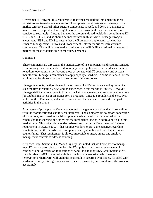Government IT buyers. It is conceivable, that when regulations implementing these provisions are issued a new market for IT components and systems will emerge. That market can serve critical infrastructure components as well, and do so in a manner to assure lower-cost product than might be otherwise possible if these two markets were considered separately. Lineage believes the aforementioned legislation compliments EO 13636 and PPD 21, and so should be incorporated in this review. Lineage strongly encourages NIST and DHS to ensure that the Framework implements policies that enhance Management Controls and Procurement Reform for critical infrastructure components. This will reduce market confusion and will facilitate rational pathways to market for those products able to meet new demands.

## Comments

These comments are directed at the manufacture of IT components and systems. Lineage is submitting these comments to address only those applications, and so does not intend to address operations issues beyond those associated with IT component and systems manufacture. Lineage's comments do apply equally elsewhere, in some instances, but are not intended for those purposes in the context of this response.

Lineage is an outgrowth of demand for secure COTS IT components and systems. As such the firm is relatively new, and its experience in this market is limited. However, Lineage staff includes experts in IT supply-chain management and security, and methods for establishing levels of assurance for IT products. Lineage's founders and executives hail from the IT industry, and so offer views from the perspective gained from past activities in this arena.

As a matter of principle the Company adopted management practices that closely align with the aforementioned statutory requirements. The Company did so before conception of those laws, and based its decision upon an evaluation of risk that yielded to the conclusion that sourcing of supply was the most critical factor in addressing risk in this marketplace. This principle is evidence-based and tracks the Department of Defense requirement in DODI 5200.44 that requires vendors to prove the negative regarding penetrations, in other words that a component and system has not been tainted and/or counterfeited. That requirement is almost impossible to meet, unless one employs management controls to address sourcing.

Air Force Chief Scientist, Dr. Mark Maybury, has noted that we know how to manage most IT threat vectors, but that unless the IT supply-chain is made secure we will continue to build castles on foundations of sand. In a talk by RSA Chief Scientist Ari Juels in March 2013 concurred with this conclusion when asked which strategy (encryption or hardware) will yield the best result in securing cyberspace. He sided with hardware security. Lineage concurs with these assessments, and has aligned its business accordingly.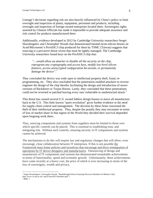Lineage's decisions regarding risk are also heavily influenced by China's policy to limit oversight and inspection of plants, equipment, personnel and products, including oversight and inspection of foreign owned enterprises located there. Sovereignty rights asserted by Chinese Officials has made it impossible to provide adequate assurance and risk control for products manufactured there.

Additionally, evidence developed in 2012 by Cambridge University researchers Sergei Skorobogatov and Christopher Woods that demonstrated burned-in/on-silicon threats on Actel/Microsemi's ProASIC3 chip produced for them by TSMC (Taiwan) suggests that sourcing is a pervasive threat vector that must be tightly managed. The Cambridge University researchers found keys on the ProASIC3 chip that:

*"…would allow an attacker to disable all the security on the chip, reprogram any cryptography and access keys, modify low-level silicon features, access unencrypted configuration bit-stream, or permanently damage the device".[1](#page-4-0)*

They concluded the device was wide open to intellectual property theft, fraud, reprogramming, etc. They also concluded that the penetration enabled attackers to reverse engineer the design of the chip thereby facilitating the design and introduction of newer versions of Backdoors or Trojan Horses. Lastly, they concluded that these penetrations could not be reversed or patched leaving every user vulnerable to unobstructed attack.<sup>[2](#page-4-1)</sup>

This threat has caused several U.S. owned fabless design houses to move all manufacture back to the U.S. This little known "quiet revolution" gives further evidence to the need for supply-chain control and management. The decision by these firms concerned the theft of their intellectual property. Thus, despite the penalty they may encounter in terms of loss of market share in that region of the World they decided their survival depended upon forgoing work there.

Thus, sourcing components and systems from suppliers must be limited to those over which specific controls can be placed. This is essential to establishing trust, and mitigating risk. Without such controls, ensuring security in IT components and systems cannot be achieved.

The mechanisms to do this will require law and regulatory changes that will allow, even encourage, close collaboration between IT enterprises. If this is not possible the Framework must foster policies and incentives that encourage and drive reintegration of operations by IT device designers and manufacturers. Outsourcing of design and manufacture of IT components and systems has demonstrated remarkable achievements in terms of functionality, speed and economic growth. Unfortunately, these achievements have come recently at a heavy cost, the price of which is ever increasing in terms of the loss of sovereignty, wealth and privacy.

<span id="page-4-0"></span><sup>1&</sup>lt;br><sup>1</sup> Sergei Skorobogatov, Christopher Woods, "Breakthrough Silicon Scanning Discovers Backdoor In Military Chip", http://www.cl.cam.ac.uk/~sps32/ches2012-backdoor.pdf: 1

<span id="page-4-1"></span> $2$  IBID: 1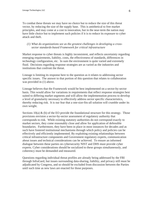To combat these threats we may have no choice but to reduce the size of this threat vector, by reducing the size of the supply base. This is antithetical to free market principles, and may come at a cost to innovation, but in the near-term the nation may have little choice but to implement such policies if it is to reduce its exposure to cyber attack and theft.

## *(1) What do organizations see as the greatest challenges in developing a crosssector standards-based Framework for critical infrastructure*

Market response to cyber threats is highly inconsistent, and reflects uncertainty regarding emerging requirements, liability, costs, the effectiveness of standards, differences in technology configuration, etc. In sum the environment is quite varied and extremely fluid. Decisions regarding response strategies are as varied as the industries and institutions that confront the threat.

Lineage is limiting its response here to the question as it relates to addressing sector specific issues. The answer to that portion of this question that relates to collaboration was provided in  $(1)$  above.

Lineage believes that the Framework would be best implemented on a sector-by-sector basis. This would allow for variations in requirements that reflect response strategies best suited to differing market segments and will allow the implementation process to develop a level of granularity necessary to effectively address sector specific characteristics, thereby reducing risk. It is our fear that a one-size-fits-all solution will crumble under its own weight.

Sections 10(a)  $\&$  (b) of the EO provide the foundational structure for this strategy. Those provisions envision a sector-by-sector assessment of regulatory authority that corresponds to risk. While existing statutory authorities do not correspond exactly to market sectors, they come reasonably close and allow for application of defensible boundaries. Furthermore, they have been in place in most instances for decades and as such have fostered institutional mechanisms through which policy and policies can be effectively and efficiently implemented. By exploiting existing relationships between critical infrastructure components and Government regulatory experts, communication about issues and technical considerations can be achieved. To ensure an informed dialogue between these parties on cybersecurity NIST and DHS must provide cyber experts. Cyber considerations should be socialized to these groups simultaneously, and coherency must be demanded and measured.

Questions regarding individual threat profiles are already being addressed by the FBI through InfraGard, but issues surrounding data-sharing, liability, and privacy still must be adjudicated by Congress, and so should be excluded from discussion between the Parties until such time as new laws are enacted for those purposes.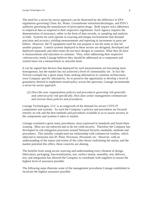The need for a sector-by-sector approach can be illustrated by the difference in EPA regulations governing Clean Air, Water, Groundwater emissions/discharges, and FDA's authority governing the manufacture of prescription drugs. Both require strict adherence to empirical data as required in their respective regulations. Each Agency requires the demonstration of assurance, either in the form of data records, or sampling and analysis, or both. Systems for each operate in exacting and unique environments that demand precision and accuracy yielding measurements and reporting in increments in parts per billion. However, the IT equipment used for one purpose is not the same as that for another purpose. Control systems deployed in these sectors are designed, developed and deployed separately and often times do not have designs in common. What they do have is measurements and outcomes in common. Thus, when addressing their respective cybersecurity needs Lineage believes they should be addressed on a component and system basis not a measurement or outcome basis.

It can be argued that devices that deployed for such measurements are becoming more homogenous, but the market has not achieved a level of commonality yet. In fact the Telvent example has a great many firms seeking alternatives to common architectures, even Company specific alternatives. So to preserve the opportunity to develop a level of granularity desired to implement sound policy across the spectrum, Lineage recommends a sector-by-sector approach.

*(2) Describe your organizations policies and procedures governing risk generally and cybersecurity risk specifically. How does senior management communicate and oversee these policies and procedures.*

Lineage Technologies, LLC is an outgrowth of the demand for secure COTS IT components and systems. As such the Company's policies and procedures are focused entirely on risk and the best methods and procedures available to us to assure security in the components and systems it takes to market.

Lineage examined a great many procedures, most expressed in standards and found them wanting. Most are not enforced and so do not yield security. Therefore the Company has developed its risk mitigation processes around National Security standards, methods and procedures. This initially complicated our relationship with commercial vendors, which objected to intrusions into IP, Plant, Processes, Personnel, etc. However, with an understanding of the nature and extent of the cyber threat confronting the nation, and the market potential this offers, those concerns are abating.

The benefits from using secure sourcing and understanding every element of design, fabrication, packaging, functionalization, test, surface mount, assembly, test, delivery, test, and integration has allowed the Company to coordinate with suppliers to ensure the highest level of assurance possible.

The following steps illustrate some of the management procedures Lineage established to inculcate the highest assurance possible: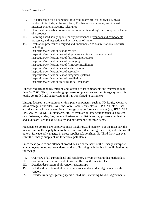- I. US citizenship for all personnel involved in any project involving Lineage product, to include, at the very least, FBI background checks, and in most instances National Security Clearance
- II. Identification/verification/inspection of all critical design and component features of a product
- III. Sourcing based solely upon security provenance of vendors and components processes, and inspection and verification of same
- IV. Evaluation procedures designed and implemented to assure National Security, including: Inspection/verification/test of reticles Inspection/verification/test of all process and inspection equipment Inspection/verification/test of fabrication processes Inspection/verification/test of packaging Inspection/verification/test of firmware/installation Inspection/verification/test of surface mount Inspection/verification/test of assembly Inspection/verification/test of integrated systems Inspection/verification/test of installation Inspection/verification/tracking for all transport

Lineage requires tagging, tracking and locating of its components and systems in real time 24/7/365. Thus, once a design/process/component enters the Lineage system it is totally controlled and supervised until it is transferred to customers.

Lineage focuses its attention on critical path components, such as I/O, Logic, Memory, Mass-storage, Controllers, Antenna, Wire/Cable, Connectors (USP, CAT, etc.), Case, etc., that can facilitate penetrations. Lineage uses performance indices (e.g. IEEE, SAE, SPE, ASTM, ANSI, ISO standards, etc.) to evaluate all other components to a system (e.g. fasteners, solder, flux, resin, adhesives, etc.). Batch testing, process examination, and audits are used to assure quality and performance for these items.

Management controls are employed in a straightforward manner. For the most part this means limiting the supply base to those enterprises that Lineage can trust, and echoing all others. Lineage only engages in direct supplier relationships. No Third Party can ever enter the Lineage supply chain for critical path items.

Since these policies and attendant procedures are at the heart of the Lineage enterprise, all employees are trained to understand them. Training includes but is not limited to the following:

- I. Overview of all current legal and regulatory drivers affecting this marketplace
- II. Overview of economic market drivers affecting this marketplace
- III. Detailed description of all vendor relationships
- IV. Detailed description of all process controls, and attendant Agreements with vendors
- V. Detailed training regarding specific job duties, including ND/NC Agreements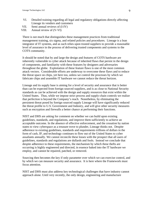- VI. Detailed training regarding all legal and regulatory obligations directly affecting Lineage its vendors and customers
- VII. Semi annual reviews of (I-IV)
- VIII. Annual review of (V-VI)

There is not much that distinguishes these management practices from traditional management training, six sigma, and related policies and procedures. Lineage is a lean integrator of IT systems, and as such relies upon trusted suppliers to provide a reasonable level of assurance in the process of delivering trusted components and systems to the COTS community.

It should be noted that by and large the design and features of COTS hardware are inherently vulnerable to cyber attack because of inherited flaws that persist in the design of components, and familiarity with these features by designers and adversaries throughout the globe. Exploitation of these feature flaws is one of the most common attack vectors. Considerable efforts are underway to overcome these flaws and to reduce the threat space on chips, yet here too, unless we control the processes by which we fabricate chips and assemble IT hardware we cannot reduce the threat horizon.

Lineage and its supply base is aiming for a level of security and assurance that is better than can be expected from foreign sourced suppliers, and is as close to National Security standards as can be achieved with the design and supply resources that exist within the United States. Thus, while we impose strict process and supply-chain controls we realize that perfection is beyond the Company's reach. Nonetheless, by eliminating the persistent threat posed by foreign sourced supply Lineage will have significantly reduced the threat profile to U.S. Government and Industry, and will give other security measures such as encryption and firewalls a better chance at performing their functions.

NIST and DHS are asking for comment on whether we can build upon existing guidelines, standards, and regulations, and improve them sufficiently to achieve an acceptable outcome. In the absence of effective enforcement, and the cessation by nation states to view cyberspace as a treasure trove to plunder, Lineage thinks not. Despite adherence to existing guidelines, standards and requirements trillions of dollars in the form of cash, IP, and technology continues to flow out of the United States to cyber assailants annually. We cannot reconcile these losses with the prospect that all users of guidelines, standards and regulations are dullards and fools. Instead we conclude that despite adherence to these requirements, the mechanism by which these thefts are occurring is highly engineered and directed, in essence baked into the IT hardware we employ, and cannot be repaired, patched, or removed.

Sourcing then becomes the key if only parameter over which we can exercise control, and by which we can measure security and assurance. It is here where the Framework must focus attention.

NIST and DHS must also address key technological challenges that have industry cannot approach alone. Until very recently, the only design, engineering and manufacture